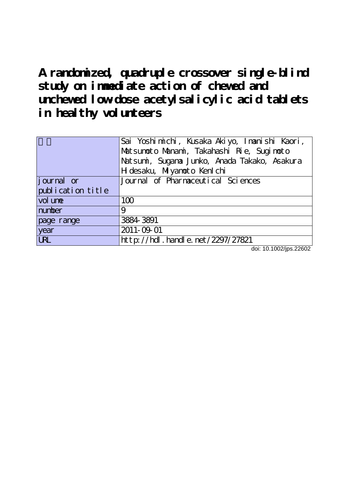**A randomized, quadruple crossover single-blind study on immediate action of chewed and unchewed low-dose acetylsalicylic acid tablets in healthy volunteers**

|                    | Sai Yoshimichi, Kusaka Akiyo, Imanishi Kaori, |  |  |
|--------------------|-----------------------------------------------|--|--|
|                    | Matsunoto Manani, Takahashi Rie, Suginoto     |  |  |
|                    | Natsumi, Sugana Junko, Anada Takako, Asakura  |  |  |
|                    | H desaku, Miyanoto Kenl chi                   |  |  |
| <i>j</i> ournal or | Journal of Pharmaceutical Sciences            |  |  |
| publication title  |                                               |  |  |
| vol une            | 100                                           |  |  |
| number             | 9                                             |  |  |
| page range         | 3884-3891                                     |  |  |
| year               | 2011-09-01                                    |  |  |
| <b>LRL</b>         | http://hdl.handle.net/2297/27821              |  |  |

doi: 10.1002/jps.22602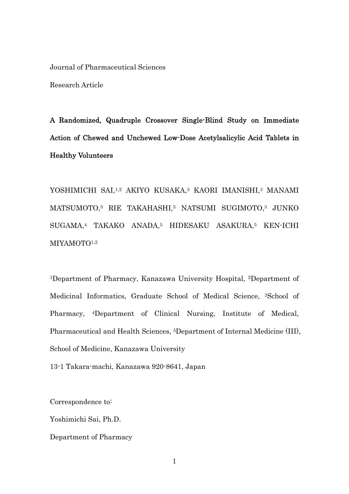Journal of Pharmaceutical Sciences

Research Article

A Randomized, Quadruple Crossover Single-Blind Study on Immediate Action of Chewed and Unchewed Low-Dose Acetylsalicylic Acid Tablets in Healthy Volunteers

YOSHIMICHI SAI,1,2 AKIYO KUSAKA,3 KAORI IMANISHI,3 MANAMI MATSUMOTO,3 RIE TAKAHASHI,3 NATSUMI SUGIMOTO,3 JUNKO SUGAMA,4 TAKAKO ANADA,5 HIDESAKU ASAKURA,5 KEN-ICHI MIYAMOTO<sup>1,2</sup>

1Department of Pharmacy, Kanazawa University Hospital, 2Department of Medicinal Informatics, Graduate School of Medical Science, 3School of Pharmacy, 4Department of Clinical Nursing, Institute of Medical, Pharmaceutical and Health Sciences, 5Department of Internal Medicine (III), School of Medicine, Kanazawa University

13-1 Takara-machi, Kanazawa 920-8641, Japan

Correspondence to:

Yoshimichi Sai, Ph.D.

Department of Pharmacy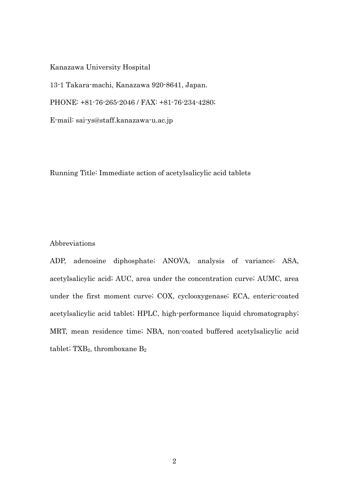Kanazawa University Hospital

13-1 Takara-machi, Kanazawa 920-8641, Japan.

PHONE: +81-76-265-2046 / FAX: +81-76-234-4280;

E-mail: sai-ys@staff.kanazawa-u.ac.jp

Running Title: Immediate action of acetylsalicylic acid tablets

#### Abbreviations

ADP, adenosine diphosphate; ANOVA, analysis of variance; ASA, acetylsalicylic acid; AUC, area under the concentration curve; AUMC, area under the first moment curve; COX, cyclooxygenase; ECA, enteric-coated acetylsalicylic acid tablet; HPLC, high-performance liquid chromatography; MRT, mean residence time; NBA, non-coated buffered acetylsalicylic acid tablet;  $TXB_2$ , thromboxane  $B_2$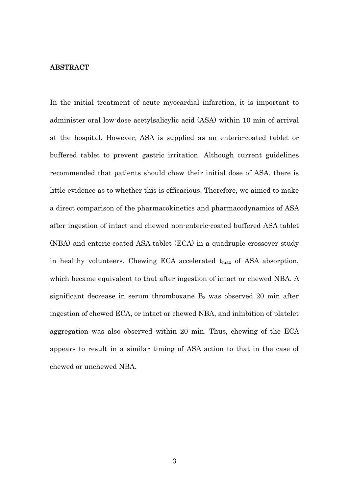#### ABSTRACT

In the initial treatment of acute myocardial infarction, it is important to administer oral low-dose acetylsalicylic acid (ASA) within 10 min of arrival at the hospital. However, ASA is supplied as an enteric-coated tablet or buffered tablet to prevent gastric irritation. Although current guidelines recommended that patients should chew their initial dose of ASA, there is little evidence as to whether this is efficacious. Therefore, we aimed to make a direct comparison of the pharmacokinetics and pharmacodynamics of ASA after ingestion of intact and chewed non-enteric-coated buffered ASA tablet (NBA) and enteric-coated ASA tablet (ECA) in a quadruple crossover study in healthy volunteers. Chewing ECA accelerated  $t_{\text{max}}$  of ASA absorption, which became equivalent to that after ingestion of intact or chewed NBA. A significant decrease in serum thromboxane  $B_2$  was observed 20 min after ingestion of chewed ECA, or intact or chewed NBA, and inhibition of platelet aggregation was also observed within 20 min. Thus, chewing of the ECA appears to result in a similar timing of ASA action to that in the case of chewed or unchewed NBA.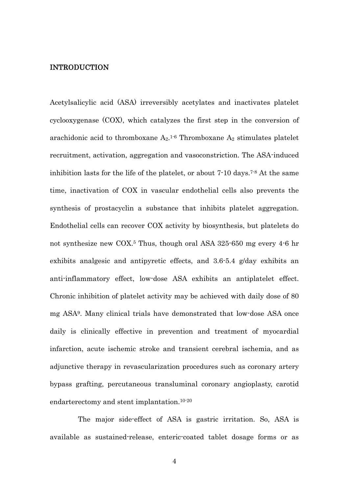#### INTRODUCTION

Acetylsalicylic acid (ASA) irreversibly acetylates and inactivates platelet cyclooxygenase (COX), which catalyzes the first step in the conversion of arachidonic acid to thromboxane  $A_2$ .<sup>1-6</sup> Thromboxane  $A_2$  stimulates platelet recruitment, activation, aggregation and vasoconstriction. The ASA-induced inhibition lasts for the life of the platelet, or about 7.10 days.<sup>7-8</sup> At the same time, inactivation of COX in vascular endothelial cells also prevents the synthesis of prostacyclin a substance that inhibits platelet aggregation. Endothelial cells can recover COX activity by biosynthesis, but platelets do not synthesize new COX.5 Thus, though oral ASA 325-650 mg every 4-6 hr exhibits analgesic and antipyretic effects, and 3.6-5.4 g/day exhibits an anti-inflammatory effect, low-dose ASA exhibits an antiplatelet effect. Chronic inhibition of platelet activity may be achieved with daily dose of 80 mg ASA9. Many clinical trials have demonstrated that low-dose ASA once daily is clinically effective in prevention and treatment of myocardial infarction, acute ischemic stroke and transient cerebral ischemia, and as adjunctive therapy in revascularization procedures such as coronary artery bypass grafting, percutaneous transluminal coronary angioplasty, carotid endarterectomy and stent implantation.10-20

The major side-effect of ASA is gastric irritation. So, ASA is available as sustained-release, enteric-coated tablet dosage forms or as

4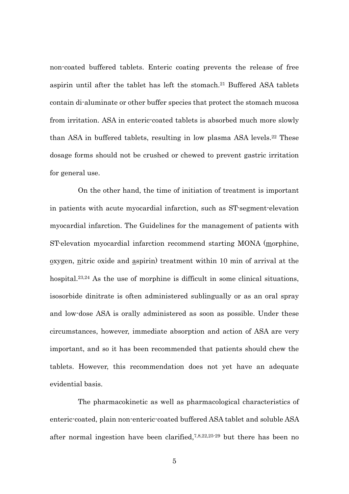non-coated buffered tablets. Enteric coating prevents the release of free aspirin until after the tablet has left the stomach.<sup>21</sup> Buffered ASA tablets contain di-aluminate or other buffer species that protect the stomach mucosa from irritation. ASA in enteric-coated tablets is absorbed much more slowly than ASA in buffered tablets, resulting in low plasma ASA levels.22 These dosage forms should not be crushed or chewed to prevent gastric irritation for general use.

 On the other hand, the time of initiation of treatment is important in patients with acute myocardial infarction, such as ST-segment-elevation myocardial infarction. The Guidelines for the management of patients with ST-elevation myocardial infarction recommend starting MONA (morphine,  $\alpha$  oxygen, nitric oxide and aspirin) treatment within 10 min of arrival at the hospital.<sup>23,24</sup> As the use of morphine is difficult in some clinical situations, isosorbide dinitrate is often administered sublingually or as an oral spray and low-dose ASA is orally administered as soon as possible. Under these circumstances, however, immediate absorption and action of ASA are very important, and so it has been recommended that patients should chew the tablets. However, this recommendation does not yet have an adequate evidential basis.

 The pharmacokinetic as well as pharmacological characteristics of enteric-coated, plain non-enteric-coated buffered ASA tablet and soluble ASA after normal ingestion have been clarified,7,8,22,25-29 but there has been no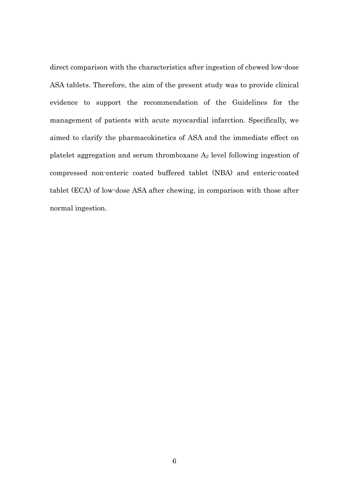direct comparison with the characteristics after ingestion of chewed low-dose ASA tablets. Therefore, the aim of the present study was to provide clinical evidence to support the recommendation of the Guidelines for the management of patients with acute myocardial infarction. Specifically, we aimed to clarify the pharmacokinetics of ASA and the immediate effect on platelet aggregation and serum thromboxane  $A_2$  level following ingestion of compressed non-enteric coated buffered tablet (NBA) and enteric-coated tablet (ECA) of low-dose ASA after chewing, in comparison with those after normal ingestion.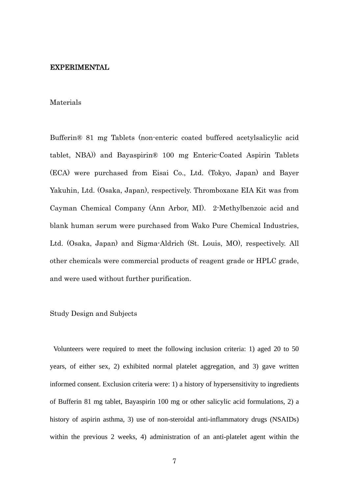#### EXPERIMENTAL

#### Materials

Bufferin® 81 mg Tablets (non-enteric coated buffered acetylsalicylic acid tablet, NBA)) and Bayaspirin® 100 mg Enteric-Coated Aspirin Tablets (ECA) were purchased from Eisai Co., Ltd. (Tokyo, Japan) and Bayer Yakuhin, Ltd. (Osaka, Japan), respectively. Thromboxane EIA Kit was from Cayman Chemical Company (Ann Arbor, MI). 2-Methylbenzoic acid and blank human serum were purchased from Wako Pure Chemical Industries, Ltd. (Osaka, Japan) and Sigma-Aldrich (St. Louis, MO), respectively. All other chemicals were commercial products of reagent grade or HPLC grade, and were used without further purification.

#### Study Design and Subjects

 Volunteers were required to meet the following inclusion criteria: 1) aged 20 to 50 years, of either sex, 2) exhibited normal platelet aggregation, and 3) gave written informed consent. Exclusion criteria were: 1) a history of hypersensitivity to ingredients of Bufferin 81 mg tablet, Bayaspirin 100 mg or other salicylic acid formulations, 2) a history of aspirin asthma, 3) use of non-steroidal anti-inflammatory drugs (NSAIDs) within the previous 2 weeks, 4) administration of an anti-platelet agent within the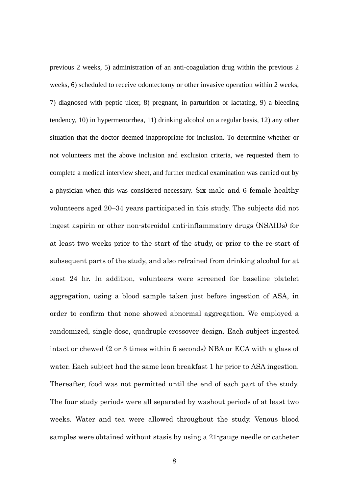previous 2 weeks, 5) administration of an anti-coagulation drug within the previous 2 weeks, 6) scheduled to receive odontectomy or other invasive operation within 2 weeks, 7) diagnosed with peptic ulcer, 8) pregnant, in parturition or lactating, 9) a bleeding tendency, 10) in hypermenorrhea, 11) drinking alcohol on a regular basis, 12) any other situation that the doctor deemed inappropriate for inclusion. To determine whether or not volunteers met the above inclusion and exclusion criteria, we requested them to complete a medical interview sheet, and further medical examination was carried out by a physician when this was considered necessary. Six male and 6 female healthy volunteers aged 20–34 years participated in this study. The subjects did not ingest aspirin or other non-steroidal anti-inflammatory drugs (NSAIDs) for at least two weeks prior to the start of the study, or prior to the re-start of subsequent parts of the study, and also refrained from drinking alcohol for at least 24 hr. In addition, volunteers were screened for baseline platelet aggregation, using a blood sample taken just before ingestion of ASA, in order to confirm that none showed abnormal aggregation. We employed a randomized, single-dose, quadruple-crossover design. Each subject ingested intact or chewed (2 or 3 times within 5 seconds) NBA or ECA with a glass of water. Each subject had the same lean breakfast 1 hr prior to ASA ingestion. Thereafter, food was not permitted until the end of each part of the study. The four study periods were all separated by washout periods of at least two weeks. Water and tea were allowed throughout the study. Venous blood samples were obtained without stasis by using a 21-gauge needle or catheter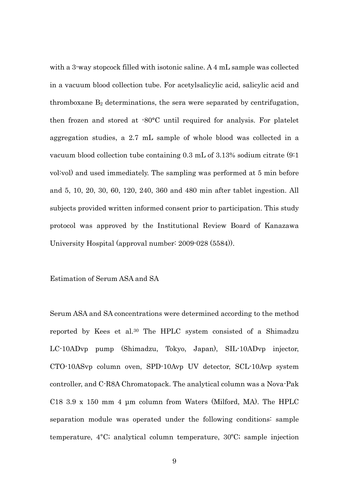with a 3-way stopcock filled with isotonic saline. A 4 mL sample was collected in a vacuum blood collection tube. For acetylsalicylic acid, salicylic acid and thromboxane  $B_2$  determinations, the sera were separated by centrifugation, then frozen and stored at -80°C until required for analysis. For platelet aggregation studies, a 2.7 mL sample of whole blood was collected in a vacuum blood collection tube containing 0.3 mL of 3.13% sodium citrate (9:1 vol:vol) and used immediately. The sampling was performed at 5 min before and 5, 10, 20, 30, 60, 120, 240, 360 and 480 min after tablet ingestion. All subjects provided written informed consent prior to participation. This study protocol was approved by the Institutional Review Board of Kanazawa University Hospital (approval number: 2009-028 (5584)).

#### Estimation of Serum ASA and SA

Serum ASA and SA concentrations were determined according to the method reported by Kees et al.30 The HPLC system consisted of a Shimadzu LC-10ADvp pump (Shimadzu, Tokyo, Japan), SIL-10ADvp injector, CTO-10ASvp column oven, SPD-10Avp UV detector, SCL-10Avp system controller, and C-R8A Chromatopack. The analytical column was a Nova-Pak C18 3.9 x 150 mm 4 μm column from Waters (Milford, MA). The HPLC separation module was operated under the following conditions: sample temperature, 4°C; analytical column temperature, 30ºC; sample injection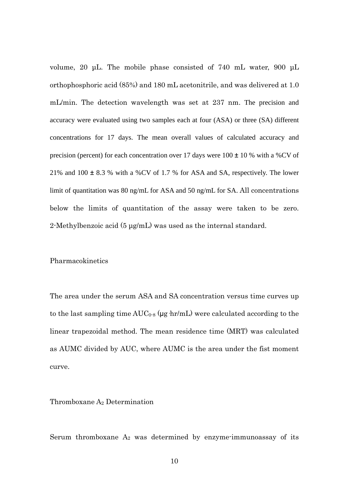volume, 20 μL. The mobile phase consisted of 740 mL water, 900 μL orthophosphoric acid (85%) and 180 mL acetonitrile, and was delivered at 1.0 mL/min. The detection wavelength was set at 237 nm. The precision and accuracy were evaluated using two samples each at four (ASA) or three (SA) different concentrations for 17 days. The mean overall values of calculated accuracy and precision (percent) for each concentration over 17 days were  $100 \pm 10$  % with a %CV of 21% and 100 ± 8.3 % with a %CV of 1.7 % for ASA and SA, respectively. The lower limit of quantitation was 80 ng/mL for ASA and 50 ng/mL for SA. All concentrations below the limits of quantitation of the assay were taken to be zero. 2-Methylbenzoic acid (5 μg/mL) was used as the internal standard.

#### Pharmacokinetics

The area under the serum ASA and SA concentration versus time curves up to the last sampling time  $AUC_{0.8}$  (µg hr/mL) were calculated according to the linear trapezoidal method. The mean residence time (MRT) was calculated as AUMC divided by AUC, where AUMC is the area under the fist moment curve.

#### Thromboxane A2 Determination

Serum thromboxane  $A_2$  was determined by enzyme-immunoassay of its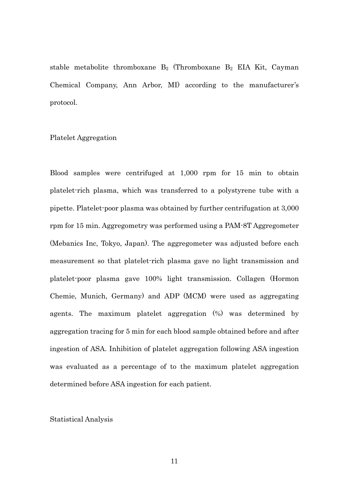stable metabolite thromboxane  $B_2$  (Thromboxane  $B_2$  EIA Kit, Cayman Chemical Company, Ann Arbor, MI) according to the manufacturer's protocol.

#### Platelet Aggregation

Blood samples were centrifuged at 1,000 rpm for 15 min to obtain platelet-rich plasma, which was transferred to a polystyrene tube with a pipette. Platelet-poor plasma was obtained by further centrifugation at 3,000 rpm for 15 min. Aggregometry was performed using a PAM-8T Aggregometer (Mebanics Inc, Tokyo, Japan). The aggregometer was adjusted before each measurement so that platelet-rich plasma gave no light transmission and platelet-poor plasma gave 100% light transmission. Collagen (Hormon Chemie, Munich, Germany) and ADP (MCM) were used as aggregating agents. The maximum platelet aggregation (%) was determined by aggregation tracing for 5 min for each blood sample obtained before and after ingestion of ASA. Inhibition of platelet aggregation following ASA ingestion was evaluated as a percentage of to the maximum platelet aggregation determined before ASA ingestion for each patient.

#### Statistical Analysis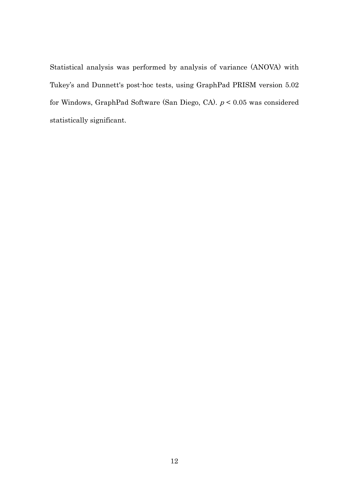Statistical analysis was performed by analysis of variance (ANOVA) with Tukey's and Dunnett's post-hoc tests, using GraphPad PRISM version 5.02 for Windows, GraphPad Software (San Diego, CA). p < 0.05 was considered statistically significant.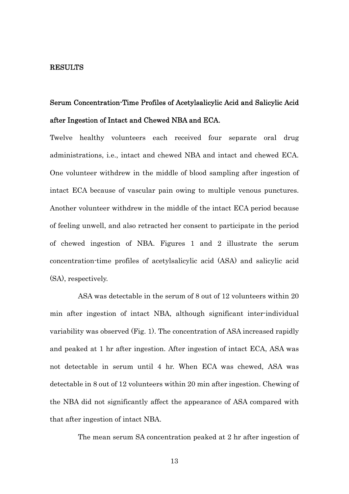#### RESULTS

# Serum Concentration-Time Profiles of Acetylsalicylic Acid and Salicylic Acid after Ingestion of Intact and Chewed NBA and ECA.

Twelve healthy volunteers each received four separate oral drug administrations, i.e., intact and chewed NBA and intact and chewed ECA. One volunteer withdrew in the middle of blood sampling after ingestion of intact ECA because of vascular pain owing to multiple venous punctures. Another volunteer withdrew in the middle of the intact ECA period because of feeling unwell, and also retracted her consent to participate in the period of chewed ingestion of NBA. Figures 1 and 2 illustrate the serum concentration-time profiles of acetylsalicylic acid (ASA) and salicylic acid (SA), respectively.

 ASA was detectable in the serum of 8 out of 12 volunteers within 20 min after ingestion of intact NBA, although significant inter-individual variability was observed (Fig. 1). The concentration of ASA increased rapidly and peaked at 1 hr after ingestion. After ingestion of intact ECA, ASA was not detectable in serum until 4 hr. When ECA was chewed, ASA was detectable in 8 out of 12 volunteers within 20 min after ingestion. Chewing of the NBA did not significantly affect the appearance of ASA compared with that after ingestion of intact NBA.

The mean serum SA concentration peaked at 2 hr after ingestion of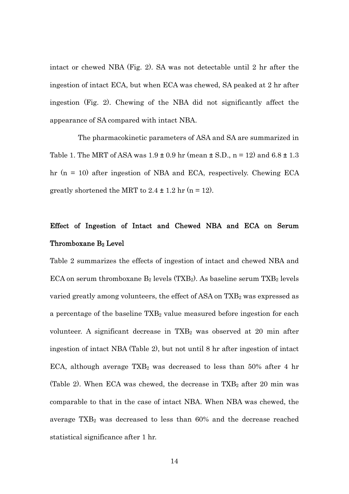intact or chewed NBA (Fig. 2). SA was not detectable until 2 hr after the ingestion of intact ECA, but when ECA was chewed, SA peaked at 2 hr after ingestion (Fig. 2). Chewing of the NBA did not significantly affect the appearance of SA compared with intact NBA.

 The pharmacokinetic parameters of ASA and SA are summarized in Table 1. The MRT of ASA was  $1.9 \pm 0.9$  hr (mean  $\pm$  S.D., n = 12) and 6.8  $\pm$  1.3 hr (n = 10) after ingestion of NBA and ECA, respectively. Chewing ECA greatly shortened the MRT to  $2.4 \pm 1.2$  hr (n = 12).

## Effect of Ingestion of Intact and Chewed NBA and ECA on Serum Thromboxane B2 Level

Table 2 summarizes the effects of ingestion of intact and chewed NBA and ECA on serum thromboxane  $B_2$  levels (TXB<sub>2</sub>). As baseline serum TXB<sub>2</sub> levels varied greatly among volunteers, the effect of  $ASA$  on  $TXB<sub>2</sub>$  was expressed as a percentage of the baseline  $TXB_2$  value measured before ingestion for each volunteer. A significant decrease in  $TXB<sub>2</sub>$  was observed at 20 min after ingestion of intact NBA (Table 2), but not until 8 hr after ingestion of intact ECA, although average  $TXB_2$  was decreased to less than 50% after 4 hr (Table 2). When ECA was chewed, the decrease in  $TXB<sub>2</sub>$  after 20 min was comparable to that in the case of intact NBA. When NBA was chewed, the average TXB2 was decreased to less than 60% and the decrease reached statistical significance after 1 hr.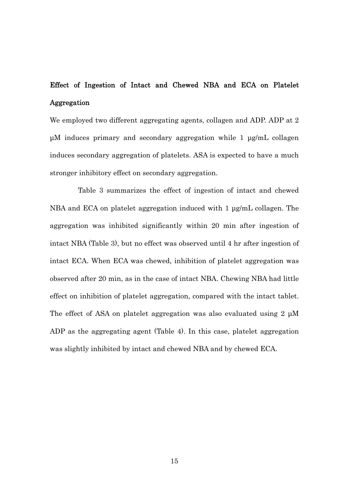## Effect of Ingestion of Intact and Chewed NBA and ECA on Platelet Aggregation

We employed two different aggregating agents, collagen and ADP. ADP at 2 μM induces primary and secondary aggregation while 1 μg/mL collagen induces secondary aggregation of platelets. ASA is expected to have a much stronger inhibitory effect on secondary aggregation.

 Table 3 summarizes the effect of ingestion of intact and chewed NBA and ECA on platelet aggregation induced with 1 μg/mL collagen. The aggregation was inhibited significantly within 20 min after ingestion of intact NBA (Table 3), but no effect was observed until 4 hr after ingestion of intact ECA. When ECA was chewed, inhibition of platelet aggregation was observed after 20 min, as in the case of intact NBA. Chewing NBA had little effect on inhibition of platelet aggregation, compared with the intact tablet. The effect of ASA on platelet aggregation was also evaluated using 2 μM ADP as the aggregating agent (Table 4). In this case, platelet aggregation was slightly inhibited by intact and chewed NBA and by chewed ECA.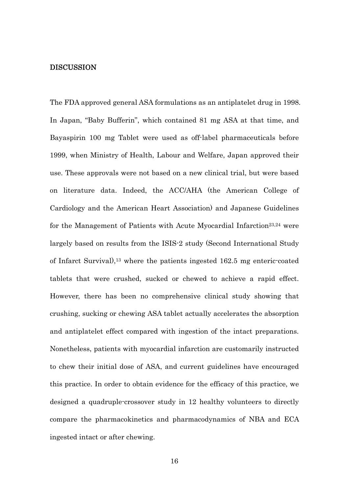#### DISCUSSION

The FDA approved general ASA formulations as an antiplatelet drug in 1998. In Japan, "Baby Bufferin", which contained 81 mg ASA at that time, and Bayaspirin 100 mg Tablet were used as off-label pharmaceuticals before 1999, when Ministry of Health, Labour and Welfare, Japan approved their use. These approvals were not based on a new clinical trial, but were based on literature data. Indeed, the ACC/AHA (the American College of Cardiology and the American Heart Association) and Japanese Guidelines for the Management of Patients with Acute Myocardial Infarction<sup>23,24</sup> were largely based on results from the ISIS-2 study (Second International Study of Infarct Survival),13 where the patients ingested 162.5 mg enteric-coated tablets that were crushed, sucked or chewed to achieve a rapid effect. However, there has been no comprehensive clinical study showing that crushing, sucking or chewing ASA tablet actually accelerates the absorption and antiplatelet effect compared with ingestion of the intact preparations. Nonetheless, patients with myocardial infarction are customarily instructed to chew their initial dose of ASA, and current guidelines have encouraged this practice. In order to obtain evidence for the efficacy of this practice, we designed a quadruple-crossover study in 12 healthy volunteers to directly compare the pharmacokinetics and pharmacodynamics of NBA and ECA ingested intact or after chewing.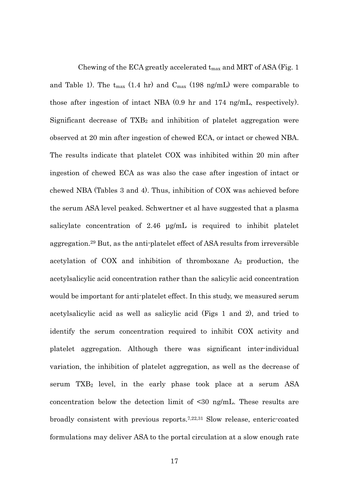Chewing of the ECA greatly accelerated  $t_{\rm max}$  and MRT of ASA (Fig. 1) and Table 1). The  $t_{max}$  (1.4 hr) and  $C_{max}$  (198 ng/mL) were comparable to those after ingestion of intact NBA (0.9 hr and 174 ng/mL, respectively). Significant decrease of  $TXB_2$  and inhibition of platelet aggregation were observed at 20 min after ingestion of chewed ECA, or intact or chewed NBA. The results indicate that platelet COX was inhibited within 20 min after ingestion of chewed ECA as was also the case after ingestion of intact or chewed NBA (Tables 3 and 4). Thus, inhibition of COX was achieved before the serum ASA level peaked. Schwertner et al have suggested that a plasma salicylate concentration of 2.46 μg/mL is required to inhibit platelet aggregation.29 But, as the anti-platelet effect of ASA results from irreversible acetylation of COX and inhibition of thromboxane  $A_2$  production, the acetylsalicylic acid concentration rather than the salicylic acid concentration would be important for anti-platelet effect. In this study, we measured serum acetylsalicylic acid as well as salicylic acid (Figs 1 and 2), and tried to identify the serum concentration required to inhibit COX activity and platelet aggregation. Although there was significant inter-individual variation, the inhibition of platelet aggregation, as well as the decrease of serum  $TXB_2$  level, in the early phase took place at a serum  $ASA$ concentration below the detection limit of <30 ng/mL. These results are broadly consistent with previous reports.7,22,31 Slow release, enteric-coated formulations may deliver ASA to the portal circulation at a slow enough rate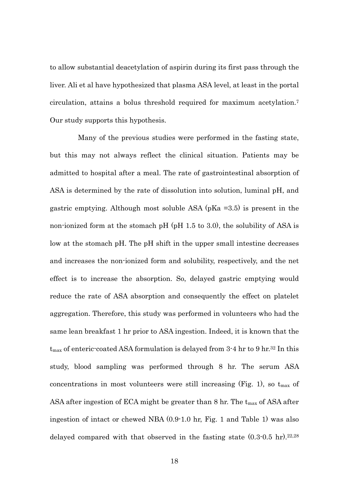to allow substantial deacetylation of aspirin during its first pass through the liver. Ali et al have hypothesized that plasma ASA level, at least in the portal circulation, attains a bolus threshold required for maximum acetylation.7 Our study supports this hypothesis.

 Many of the previous studies were performed in the fasting state, but this may not always reflect the clinical situation. Patients may be admitted to hospital after a meal. The rate of gastrointestinal absorption of ASA is determined by the rate of dissolution into solution, luminal pH, and gastric emptying. Although most soluble ASA (pKa =3.5) is present in the non-ionized form at the stomach pH (pH 1.5 to 3.0), the solubility of ASA is low at the stomach pH. The pH shift in the upper small intestine decreases and increases the non-ionized form and solubility, respectively, and the net effect is to increase the absorption. So, delayed gastric emptying would reduce the rate of ASA absorption and consequently the effect on platelet aggregation. Therefore, this study was performed in volunteers who had the same lean breakfast 1 hr prior to ASA ingestion. Indeed, it is known that the  $t_{\text{max}}$  of enteric-coated ASA formulation is delayed from 3-4 hr to 9 hr.<sup>32</sup> In this study, blood sampling was performed through 8 hr. The serum ASA concentrations in most volunteers were still increasing (Fig. 1), so  $t_{\text{max}}$  of ASA after ingestion of ECA might be greater than  $8 \text{ hr}$ . The  $t_{\text{max}}$  of ASA after ingestion of intact or chewed NBA (0.9-1.0 hr, Fig. 1 and Table 1) was also delayed compared with that observed in the fasting state  $(0.3\text{-}0.5 \text{ hr})$ .<sup>22,28</sup>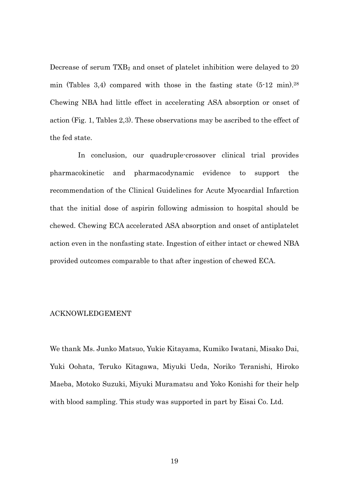Decrease of serum TXB<sub>2</sub> and onset of platelet inhibition were delayed to 20 min (Tables 3,4) compared with those in the fasting state  $(5.12 \text{ min})$ .<sup>28</sup> Chewing NBA had little effect in accelerating ASA absorption or onset of action (Fig. 1, Tables 2,3). These observations may be ascribed to the effect of the fed state.

 In conclusion, our quadruple-crossover clinical trial provides pharmacokinetic and pharmacodynamic evidence to support the recommendation of the Clinical Guidelines for Acute Myocardial Infarction that the initial dose of aspirin following admission to hospital should be chewed. Chewing ECA accelerated ASA absorption and onset of antiplatelet action even in the nonfasting state. Ingestion of either intact or chewed NBA provided outcomes comparable to that after ingestion of chewed ECA.

#### ACKNOWLEDGEMENT

We thank Ms. Junko Matsuo, Yukie Kitayama, Kumiko Iwatani, Misako Dai, Yuki Oohata, Teruko Kitagawa, Miyuki Ueda, Noriko Teranishi, Hiroko Maeba, Motoko Suzuki, Miyuki Muramatsu and Yoko Konishi for their help with blood sampling. This study was supported in part by Eisai Co. Ltd.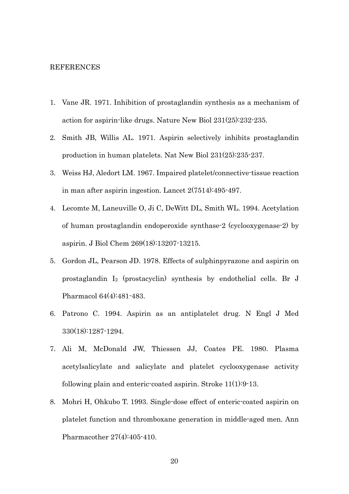#### REFERENCES

- 1. Vane JR. 1971. Inhibition of prostaglandin synthesis as a mechanism of action for aspirin-like drugs. Nature New Biol 231(25):232-235.
- 2. Smith JB, Willis AL. 1971. Aspirin selectively inhibits prostaglandin production in human platelets. Nat New Biol 231(25):235-237.
- 3. Weiss HJ, Aledort LM. 1967. Impaired platelet/connective-tissue reaction in man after aspirin ingestion. Lancet 2(7514):495-497.
- 4. Lecomte M, Laneuville O, Ji C, DeWitt DL, Smith WL. 1994. Acetylation of human prostaglandin endoperoxide synthase-2 (cyclooxygenase-2) by aspirin. J Biol Chem 269(18):13207-13215.
- 5. Gordon JL, Pearson JD. 1978. Effects of sulphinpyrazone and aspirin on prostaglandin I2 (prostacyclin) synthesis by endothelial cells. Br J Pharmacol 64(4):481-483.
- 6. Patrono C. 1994. Aspirin as an antiplatelet drug. N Engl J Med 330(18):1287-1294.
- 7. Ali M, McDonald JW, Thiessen JJ, Coates PE. 1980. Plasma acetylsalicylate and salicylate and platelet cyclooxygenase activity following plain and enteric-coated aspirin. Stroke 11(1):9-13.
- 8. Mohri H, Ohkubo T. 1993. Single-dose effect of enteric-coated aspirin on platelet function and thromboxane generation in middle-aged men. Ann Pharmacother 27(4):405-410.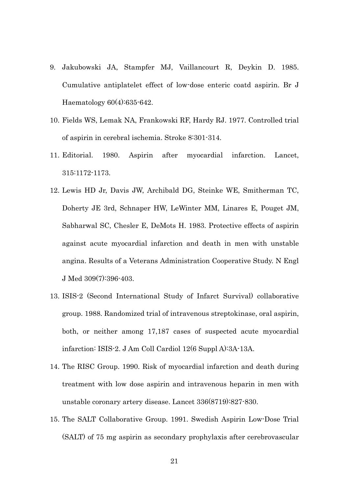- 9. Jakubowski JA, Stampfer MJ, Vaillancourt R, Deykin D. 1985. Cumulative antiplatelet effect of low-dose enteric coatd aspirin. Br J Haematology 60(4):635-642.
- 10. Fields WS, Lemak NA, Frankowski RF, Hardy RJ. 1977. Controlled trial of aspirin in cerebral ischemia. Stroke 8:301-314.
- 11. Editorial. 1980. Aspirin after myocardial infarction. Lancet, 315:1172-1173.
- 12. Lewis HD Jr, Davis JW, Archibald DG, Steinke WE, Smitherman TC, Doherty JE 3rd, Schnaper HW, LeWinter MM, Linares E, Pouget JM, Sabharwal SC, Chesler E, DeMots H. 1983. Protective effects of aspirin against acute myocardial infarction and death in men with unstable angina. Results of a Veterans Administration Cooperative Study. N Engl J Med 309(7):396-403.
- 13. ISIS-2 (Second International Study of Infarct Survival) collaborative group. 1988. Randomized trial of intravenous streptokinase, oral aspirin, both, or neither among 17,187 cases of suspected acute myocardial infarction: ISIS-2. J Am Coll Cardiol 12(6 Suppl A):3A-13A.
- 14. The RISC Group. 1990. Risk of myocardial infarction and death during treatment with low dose aspirin and intravenous heparin in men with unstable coronary artery disease. Lancet 336(8719):827-830.
- 15. The SALT Collaborative Group. 1991. Swedish Aspirin Low-Dose Trial (SALT) of 75 mg aspirin as secondary prophylaxis after cerebrovascular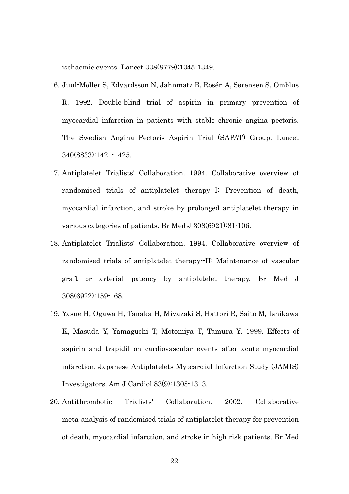ischaemic events. Lancet 338(8779):1345-1349.

- 16. Juul-Möller S, Edvardsson N, Jahnmatz B, Rosén A, Sørensen S, Omblus R. 1992. Double-blind trial of aspirin in primary prevention of myocardial infarction in patients with stable chronic angina pectoris. The Swedish Angina Pectoris Aspirin Trial (SAPAT) Group. Lancet 340(8833):1421-1425.
- 17. Antiplatelet Trialists' Collaboration. 1994. Collaborative overview of randomised trials of antiplatelet therapy--I: Prevention of death, myocardial infarction, and stroke by prolonged antiplatelet therapy in various categories of patients. Br Med J 308(6921):81-106.
- 18. Antiplatelet Trialists' Collaboration. 1994. Collaborative overview of randomised trials of antiplatelet therapy--II: Maintenance of vascular graft or arterial patency by antiplatelet therapy. Br Med J 308(6922):159-168.
- 19. Yasue H, Ogawa H, Tanaka H, Miyazaki S, Hattori R, Saito M, Ishikawa K, Masuda Y, Yamaguchi T, Motomiya T, Tamura Y. 1999. Effects of aspirin and trapidil on cardiovascular events after acute myocardial infarction. Japanese Antiplatelets Myocardial Infarction Study (JAMIS) Investigators. Am J Cardiol 83(9):1308-1313.
- 20. Antithrombotic Trialists' Collaboration. 2002. Collaborative meta-analysis of randomised trials of antiplatelet therapy for prevention of death, myocardial infarction, and stroke in high risk patients. Br Med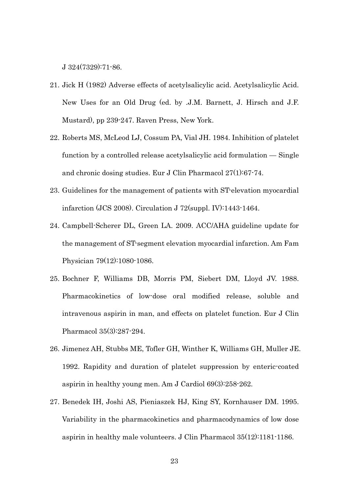J 324(7329):71-86.

- 21. Jick H (1982) Adverse effects of acetylsalicylic acid. Acetylsalicylic Acid. New Uses for an Old Drug (ed. by .J.M. Barnett, J. Hirsch and J.F. Mustard), pp 239-247. Raven Press, New York.
- 22. Roberts MS, McLeod LJ, Cossum PA, Vial JH. 1984. Inhibition of platelet function by a controlled release acetylsalicylic acid formulation — Single and chronic dosing studies. Eur J Clin Pharmacol 27(1):67-74.
- 23. Guidelines for the management of patients with ST-elevation myocardial infarction (JCS 2008). Circulation J 72(suppl. IV):1443-1464.
- 24. Campbell-Scherer DL, Green LA. 2009. ACC/AHA guideline update for the management of ST-segment elevation myocardial infarction. Am Fam Physician 79(12):1080-1086.
- 25. Bochner F, Williams DB, Morris PM, Siebert DM, Lloyd JV. 1988. Pharmacokinetics of low-dose oral modified release, soluble and intravenous aspirin in man, and effects on platelet function. Eur J Clin Pharmacol 35(3):287-294.
- 26. Jimenez AH, Stubbs ME, Tofler GH, Winther K, Williams GH, Muller JE. 1992. Rapidity and duration of platelet suppression by enteric-coated aspirin in healthy young men. Am J Cardiol 69(3):258-262.
- 27. Benedek IH, Joshi AS, Pieniaszek HJ, King SY, Kornhauser DM. 1995. Variability in the pharmacokinetics and pharmacodynamics of low dose aspirin in healthy male volunteers. J Clin Pharmacol 35(12):1181-1186.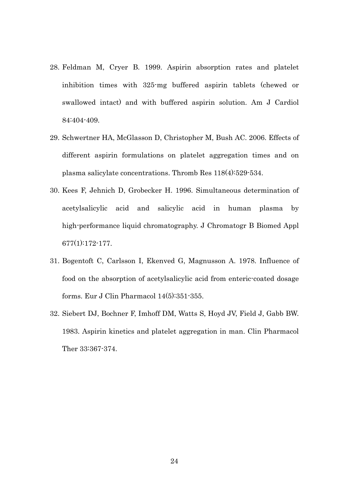- 28. Feldman M, Cryer B. 1999. Aspirin absorption rates and platelet inhibition times with 325-mg buffered aspirin tablets (chewed or swallowed intact) and with buffered aspirin solution. Am J Cardiol 84:404-409.
- 29. Schwertner HA, McGlasson D, Christopher M, Bush AC. 2006. Effects of different aspirin formulations on platelet aggregation times and on plasma salicylate concentrations. Thromb Res 118(4):529-534.
- 30. Kees F, Jehnich D, Grobecker H. 1996. Simultaneous determination of acetylsalicylic acid and salicylic acid in human plasma by high-performance liquid chromatography. J Chromatogr B Biomed Appl 677(1):172-177.
- 31. Bogentoft C, Carlsson I, Ekenved G, Magnusson A. 1978. Influence of food on the absorption of acetylsalicylic acid from enteric-coated dosage forms. Eur J Clin Pharmacol 14(5):351-355.
- 32. Siebert DJ, Bochner F, Imhoff DM, Watts S, Hoyd JV, Field J, Gabb BW. 1983. Aspirin kinetics and platelet aggregation in man. Clin Pharmacol Ther 33:367-374.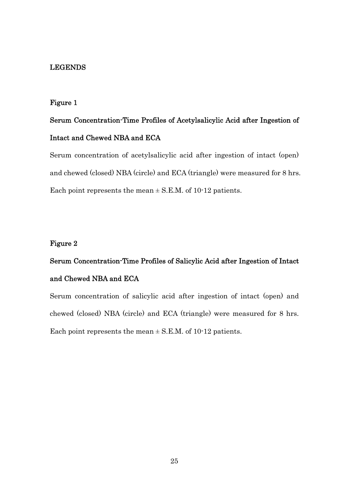#### LEGENDS

#### Figure 1

# Serum Concentration-Time Profiles of Acetylsalicylic Acid after Ingestion of Intact and Chewed NBA and ECA

Serum concentration of acetylsalicylic acid after ingestion of intact (open) and chewed (closed) NBA (circle) and ECA (triangle) were measured for 8 hrs. Each point represents the mean  $\pm$  S.E.M. of 10-12 patients.

#### Figure 2

# Serum Concentration-Time Profiles of Salicylic Acid after Ingestion of Intact and Chewed NBA and ECA

Serum concentration of salicylic acid after ingestion of intact (open) and chewed (closed) NBA (circle) and ECA (triangle) were measured for 8 hrs. Each point represents the mean  $\pm$  S.E.M. of 10-12 patients.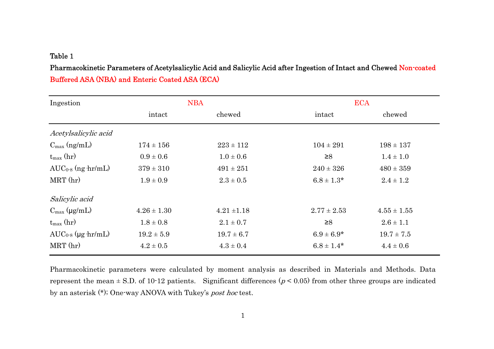#### Table 1

Pharmacokinetic Parameters of Acetylsalicylic Acid and Salicylic Acid after Ingestion of Intact and Chewed Non-coated Buffered ASA (NBA) and Enteric Coated ASA (ECA)

| Ingestion                 | <b>NBA</b>      |                 |                 | <b>ECA</b>      |  |
|---------------------------|-----------------|-----------------|-----------------|-----------------|--|
|                           | intact          | chewed          | intact          | chewed          |  |
| Acetylsalicylic acid      |                 |                 |                 |                 |  |
| $C_{\text{max}}$ (ng/mL)  | $174 \pm 156$   | $223 \pm 112$   | $104 \pm 291$   | $198 \pm 137$   |  |
| $t_{\text{max}}$ (hr)     | $0.9 \pm 0.6$   | $1.0 \pm 0.6$   | $\geq 8$        | $1.4 \pm 1.0$   |  |
| $AUC_{0.8}$ (ng $hr/mL$ ) | $379 \pm 310$   | $491 \pm 251$   | $240 \pm 326$   | $480 \pm 359$   |  |
| $MRT$ (hr)                | $1.9 \pm 0.9$   | $2.3 \pm 0.5$   | $6.8 \pm 1.3*$  | $2.4 \pm 1.2$   |  |
| Salicylic acid            |                 |                 |                 |                 |  |
| $C_{\text{max}}$ (µg/mL)  | $4.26 \pm 1.30$ | $4.21 \pm 1.18$ | $2.77 \pm 2.53$ | $4.55 \pm 1.55$ |  |
| $t_{\text{max}}$ (hr)     | $1.8 \pm 0.8$   | $2.1 \pm 0.7$   | $\geq 8$        | $2.6 \pm 1.1$   |  |
| $AUC_{0.8}$ (µg hr/mL)    | $19.2 \pm 5.9$  | $19.7 \pm 6.7$  | $6.9 \pm 6.9*$  | $19.7 \pm 7.5$  |  |
| $MRT$ (hr)                | $4.2 \pm 0.5$   | $4.3 \pm 0.4$   | $6.8 \pm 1.4*$  | $4.4 \pm 0.6$   |  |

Pharmacokinetic parameters were calculated by moment analysis as described in Materials and Methods. Data represent the mean  $\pm$  S.D. of 10-12 patients. Significant differences ( $p$  < 0.05) from other three groups are indicated by an asterisk (\*); One-way ANOVA with Tukey's post hoc test.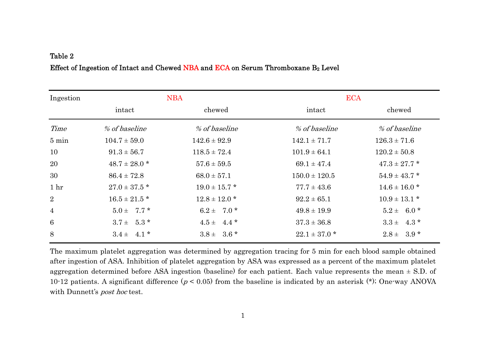### Table 2 Effect of Ingestion of Intact and Chewed NBA and ECA on Serum Thromboxane  $B_2$  Level

| Ingestion       |                   | <b>NBA</b>        | <b>ECA</b>        |                   |
|-----------------|-------------------|-------------------|-------------------|-------------------|
|                 | intact            | chewed            | intact            | chewed            |
| Time            | % of baseline     | % of baseline     | % of baseline     | % of baseline     |
| $5 \text{ min}$ | $104.7 \pm 59.0$  | $142.6 \pm 92.9$  | $142.1 \pm 71.7$  | $126.3 \pm 71.6$  |
| 10              | $91.3 \pm 56.7$   | $118.5 \pm 72.4$  | $101.9 \pm 64.1$  | $120.2 \pm 50.8$  |
| 20              | $48.7 \pm 28.0$ * | $57.6 \pm 59.5$   | $69.1 \pm 47.4$   | $47.3 \pm 27.7$ * |
| 30              | $86.4 \pm 72.8$   | $68.0 \pm 57.1$   | $150.0 \pm 120.5$ | $54.9 \pm 43.7$ * |
| 1 <sub>hr</sub> | $27.0 \pm 37.5$ * | $19.0 \pm 15.7$ * | $77.7 \pm 43.6$   | $14.6 \pm 16.0$ * |
| $\overline{2}$  | $16.5 \pm 21.5$ * | $12.8 \pm 12.0$ * | $92.2 \pm 65.1$   | $10.9 \pm 13.1$ * |
| $\overline{4}$  | $5.0 \pm 7.7$ *   | $6.2 \pm 7.0$ *   | $49.8 \pm 19.9$   | $5.2 \pm 6.0^*$   |
| 6               | $3.7 \pm 5.3$ *   | $4.5 \pm 4.4$ *   | $37.3 \pm 36.8$   | $3.3 \pm 4.3$ *   |
| 8               | $3.4 \pm 4.1$ *   | $3.8 \pm 3.6$ *   | $22.1 \pm 37.0$ * | $2.8 \pm 3.9$ *   |

The maximum platelet aggregation was determined by aggregation tracing for 5 min for each blood sample obtained after ingestion of ASA. Inhibition of platelet aggregation by ASA was expressed as a percent of the maximum platelet aggregation determined before ASA ingestion (baseline) for each patient. Each value represents the mean  $\pm$  S.D. of 10-12 patients. A significant difference ( $p < 0.05$ ) from the baseline is indicated by an asterisk (\*); One-way ANOVA with Dunnett's *post hoc* test.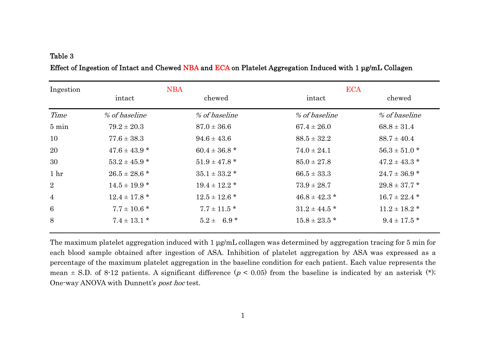#### Table 3

| Ingestion       | <b>NBA</b>        |                   | <b>ECA</b>        |                   |
|-----------------|-------------------|-------------------|-------------------|-------------------|
|                 | intact            | chewed            | intact            | chewed            |
| Time            | % of baseline     | % of baseline     | % of baseline     | % of baseline     |
| $5 \text{ min}$ | $79.2 \pm 20.3$   | $87.0 \pm 36.6$   | $67.4 \pm 26.0$   | $68.8 \pm 31.4$   |
| 10              | $77.6 \pm 38.3$   | $94.6 \pm 43.6$   | $88.5 \pm 32.2$   | $88.7 \pm 40.4$   |
| 20              | $47.6 \pm 43.9$ * | $60.4 \pm 36.8$ * | $74.0 \pm 24.1$   | $56.3 \pm 51.0$ * |
| 30              | $53.2 \pm 45.9$ * | $51.9 \pm 47.8$ * | $85.0 \pm 27.8$   | $47.2 \pm 43.3$ * |
| 1 <sub>hr</sub> | $26.5 \pm 28.6$ * | $35.1 \pm 33.2$ * | $66.5 \pm 33.3$   | $24.7 \pm 36.9$ * |
| $\overline{2}$  | $14.5 \pm 19.9$ * | $19.4 \pm 12.2$ * | $73.9 \pm 28.7$   | $29.8 \pm 37.7$ * |
| $\overline{4}$  | $12.4 \pm 17.8$ * | $12.5 \pm 12.6$ * | $46.8 \pm 42.3$ * | $16.7 \pm 22.4$ * |
| $6\phantom{1}6$ | $7.7 \pm 10.6$ *  | $7.7 \pm 11.5$ *  | $31.2 \pm 44.5$ * | $11.2 \pm 18.2$ * |
| 8               | $7.4 \pm 13.1$ *  | $5.2 \pm 6.9^*$   | $15.8 \pm 23.5$ * | $9.4 \pm 17.5$ *  |

Effect of Ingestion of Intact and Chewed NBA and ECA on Platelet Aggregation Induced with 1 μg/mL Collagen

The maximum platelet aggregation induced with 1 μg/mL collagen was determined by aggregation tracing for 5 min for each blood sample obtained after ingestion of ASA. Inhibition of platelet aggregation by ASA was expressed as a percentage of the maximum platelet aggregation in the baseline condition for each patient. Each value represents the mean  $\pm$  S.D. of 8-12 patients. A significant difference ( $p$  < 0.05) from the baseline is indicated by an asterisk (\*); One-way ANOVA with Dunnett's post hoc test.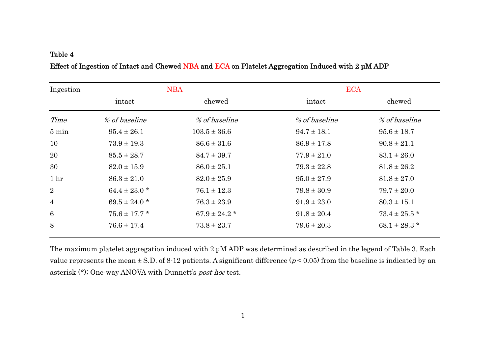#### Table 4

| Ingestion       | <b>NBA</b>        |                   | <b>ECA</b>      |                   |
|-----------------|-------------------|-------------------|-----------------|-------------------|
|                 | intact            | chewed            | intact          | chewed            |
| Time            | % of baseline     | % of baseline     | % of baseline   | % of baseline     |
| $5 \text{ min}$ | $95.4 \pm 26.1$   | $103.5 \pm 36.6$  | $94.7 \pm 18.1$ | $95.6 \pm 18.7$   |
| 10              | $73.9 \pm 19.3$   | $86.6 \pm 31.6$   | $86.9 \pm 17.8$ | $90.8 \pm 21.1$   |
| 20              | $85.5 \pm 28.7$   | $84.7 \pm 39.7$   | $77.9 \pm 21.0$ | $83.1 \pm 26.0$   |
| 30              | $82.0 \pm 15.9$   | $86.0 \pm 25.1$   | $79.3 \pm 22.8$ | $81.8 \pm 26.2$   |
| 1 <sub>hr</sub> | $86.3 \pm 21.0$   | $82.0 \pm 25.9$   | $95.0 \pm 27.9$ | $81.8 \pm 27.0$   |
| $\overline{2}$  | $64.4 \pm 23.0$ * | $76.1 \pm 12.3$   | $79.8 \pm 30.9$ | $79.7 \pm 20.0$   |
| $\overline{4}$  | $69.5 \pm 24.0$ * | $76.3 \pm 23.9$   | $91.9 \pm 23.0$ | $80.3 \pm 15.1$   |
| 6               | $75.6 \pm 17.7$ * | $67.9 \pm 24.2$ * | $91.8 \pm 20.4$ | $73.4 \pm 25.5$ * |
| 8               | $76.6 \pm 17.4$   | $73.8 \pm 23.7$   | $79.6 \pm 20.3$ | $68.1 \pm 28.3$ * |

### Effect of Ingestion of Intact and Chewed NBA and ECA on Platelet Aggregation Induced with 2 μM ADP

The maximum platelet aggregation induced with 2 μM ADP was determined as described in the legend of Table 3. Each value represents the mean  $\pm$  S.D. of 8-12 patients. A significant difference ( $p$  < 0.05) from the baseline is indicated by an asterisk (\*); One-way ANOVA with Dunnett's post hoc test.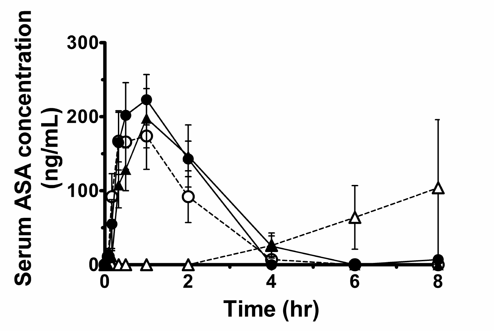